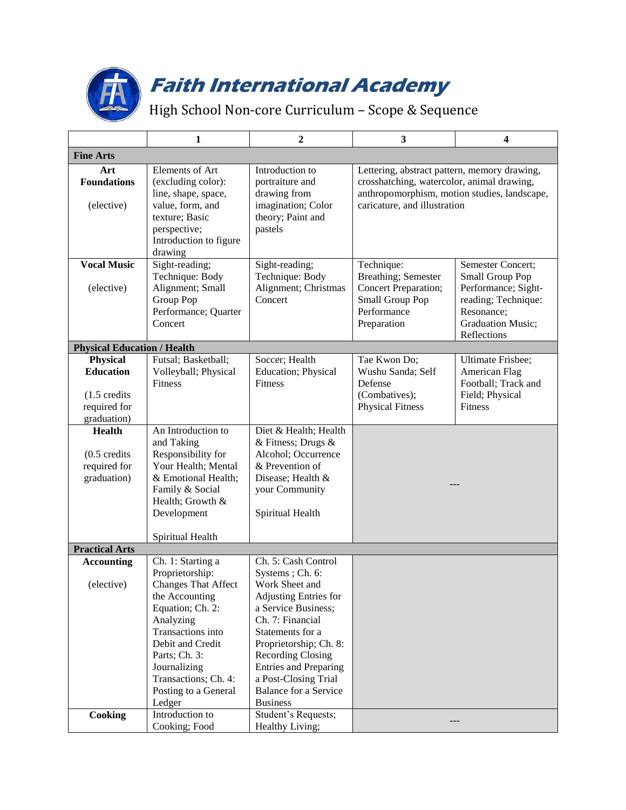

## **Faith International Academy**

High School Non-core Curriculum – Scope & Sequence

|                                                                                               | 1                                                                                                                                                                                                                                                         | $\boldsymbol{2}$                                                                                                                                                                                                                                                                                           | 3                                                                                                                                                                          | $\overline{\mathbf{4}}$                                                                                                              |  |  |
|-----------------------------------------------------------------------------------------------|-----------------------------------------------------------------------------------------------------------------------------------------------------------------------------------------------------------------------------------------------------------|------------------------------------------------------------------------------------------------------------------------------------------------------------------------------------------------------------------------------------------------------------------------------------------------------------|----------------------------------------------------------------------------------------------------------------------------------------------------------------------------|--------------------------------------------------------------------------------------------------------------------------------------|--|--|
| <b>Fine Arts</b>                                                                              |                                                                                                                                                                                                                                                           |                                                                                                                                                                                                                                                                                                            |                                                                                                                                                                            |                                                                                                                                      |  |  |
| Art<br><b>Foundations</b><br>(elective)                                                       | Elements of Art<br>(excluding color):<br>line, shape, space,<br>value, form, and<br>texture; Basic<br>perspective;<br>Introduction to figure<br>drawing                                                                                                   | Introduction to<br>portraiture and<br>drawing from<br>imagination; Color<br>theory; Paint and<br>pastels                                                                                                                                                                                                   | Lettering, abstract pattern, memory drawing,<br>crosshatching, watercolor, animal drawing,<br>anthropomorphism, motion studies, landscape,<br>caricature, and illustration |                                                                                                                                      |  |  |
| <b>Vocal Music</b><br>(elective)                                                              | Sight-reading;<br>Technique: Body<br>Alignment; Small<br>Group Pop<br>Performance; Quarter<br>Concert                                                                                                                                                     | Sight-reading;<br>Technique: Body<br>Alignment; Christmas<br>Concert                                                                                                                                                                                                                                       | Technique:<br>Breathing; Semester<br>Concert Preparation;<br>Small Group Pop<br>Performance<br>Preparation                                                                 | Semester Concert;<br>Small Group Pop<br>Performance; Sight-<br>reading; Technique:<br>Resonance;<br>Graduation Music;<br>Reflections |  |  |
| <b>Physical Education / Health</b>                                                            |                                                                                                                                                                                                                                                           |                                                                                                                                                                                                                                                                                                            |                                                                                                                                                                            |                                                                                                                                      |  |  |
| <b>Physical</b><br><b>Education</b><br>$(1.5 \text{ credits})$<br>required for<br>graduation) | Futsal; Basketball;<br>Volleyball; Physical<br><b>Fitness</b>                                                                                                                                                                                             | Soccer; Health<br>Education; Physical<br>Fitness                                                                                                                                                                                                                                                           | Tae Kwon Do;<br>Wushu Sanda; Self<br>Defense<br>(Combatives);<br><b>Physical Fitness</b>                                                                                   | Ultimate Frisbee;<br>American Flag<br>Football; Track and<br>Field; Physical<br>Fitness                                              |  |  |
| <b>Health</b><br>$(0.5 \text{ credits})$<br>required for<br>graduation)                       | An Introduction to<br>and Taking<br>Responsibility for<br>Your Health; Mental<br>& Emotional Health;<br>Family & Social<br>Health; Growth &<br>Development<br>Spiritual Health                                                                            | Diet & Health; Health<br>& Fitness; Drugs &<br>Alcohol; Occurrence<br>& Prevention of<br>Disease; Health &<br>your Community<br>Spiritual Health                                                                                                                                                           |                                                                                                                                                                            |                                                                                                                                      |  |  |
| <b>Practical Arts</b>                                                                         |                                                                                                                                                                                                                                                           |                                                                                                                                                                                                                                                                                                            |                                                                                                                                                                            |                                                                                                                                      |  |  |
| <b>Accounting</b><br>(elective)                                                               | Ch. 1: Starting a<br>Proprietorship:<br><b>Changes That Affect</b><br>the Accounting<br>Equation; Ch. 2:<br>Analyzing<br>Transactions into<br>Debit and Credit<br>Parts; Ch. 3:<br>Journalizing<br>Transactions; Ch. 4:<br>Posting to a General<br>Ledger | Ch. 5: Cash Control<br>Systems; Ch. 6:<br>Work Sheet and<br><b>Adjusting Entries for</b><br>a Service Business;<br>Ch. 7: Financial<br>Statements for a<br>Proprietorship; Ch. 8:<br>Recording Closing<br><b>Entries and Preparing</b><br>a Post-Closing Trial<br>Balance for a Service<br><b>Business</b> |                                                                                                                                                                            |                                                                                                                                      |  |  |
| Cooking                                                                                       | Introduction to<br>Cooking; Food                                                                                                                                                                                                                          | Student's Requests;<br>Healthy Living;                                                                                                                                                                                                                                                                     |                                                                                                                                                                            |                                                                                                                                      |  |  |